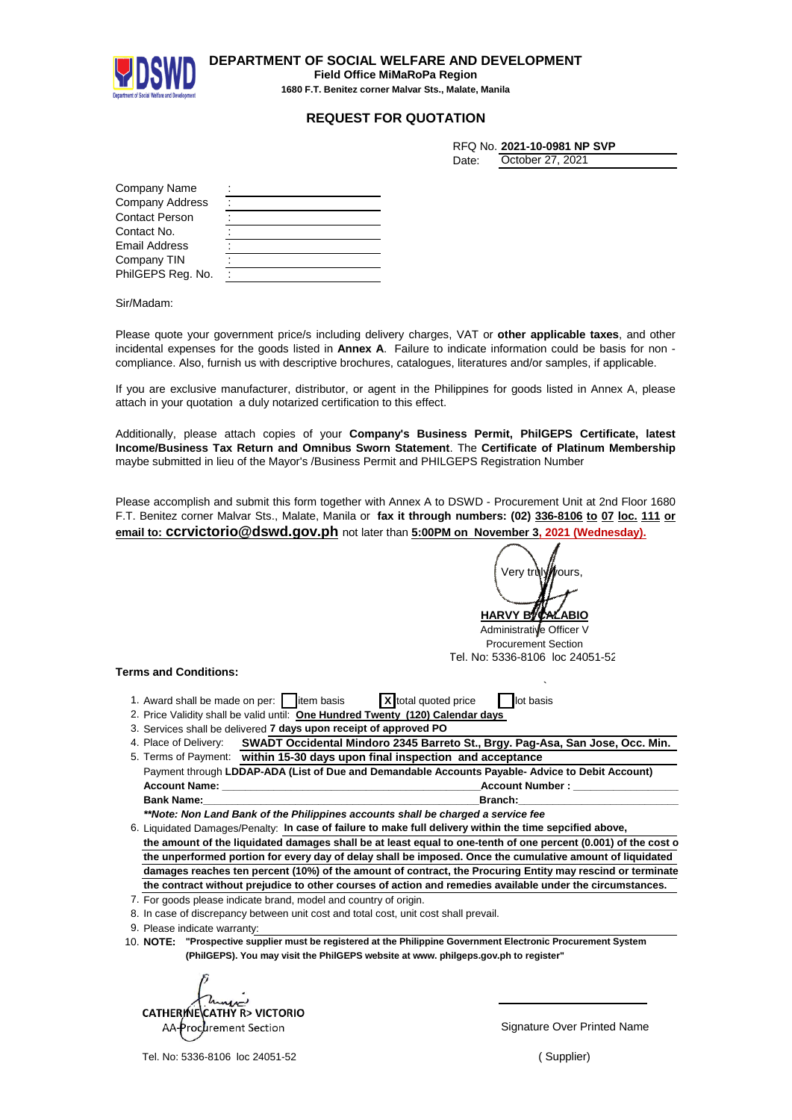

**DEPARTMENT OF SOCIAL WELFARE AND DEVELOPMENT Field Office MiMaRoPa Region 1680 F.T. Benitez corner Malvar Sts., Malate, Manila**

## **REQUEST FOR QUOTATION**

|       | RFQ No. 2021-10-0981 NP SVP |
|-------|-----------------------------|
| Date: | October 27, 2021            |

| Company Name           |  |
|------------------------|--|
| <b>Company Address</b> |  |
| <b>Contact Person</b>  |  |
| Contact No.            |  |
| Email Address          |  |
| Company TIN            |  |
| PhilGEPS Reg. No.      |  |

Sir/Madam:

Please quote your government price/s including delivery charges, VAT or **other applicable taxes**, and other incidental expenses for the goods listed in **Annex A**. Failure to indicate information could be basis for non compliance. Also, furnish us with descriptive brochures, catalogues, literatures and/or samples, if applicable.

If you are exclusive manufacturer, distributor, or agent in the Philippines for goods listed in Annex A, please attach in your quotation a duly notarized certification to this effect.

Additionally, please attach copies of your **Company's Business Permit, PhilGEPS Certificate, latest Income/Business Tax Return and Omnibus Sworn Statement**. The **Certificate of Platinum Membership** maybe submitted in lieu of the Mayor's /Business Permit and PHILGEPS Registration Number

Please accomplish and submit this form together with Annex A to DSWD - Procurement Unit at 2nd Floor 1680 F.T. Benitez corner Malvar Sts., Malate, Manila or **fax it through numbers: (02) 336-8106 to 07 loc. 111 or email to: ccrvictorio@dswd.gov.ph** not later than **5:00PM on November 3, 2021 (Wednesday).**

**HARVY B** Verv trilv

Administrative Officer V Procurement Section Tel. No: 5336-8106 loc 24051-52

`

## **Terms and Conditions:**

- 1. Award shall be made on per: item basis **X** total quoted price in lot basis
- 2. Price Validity shall be valid until: One Hundred Twenty (120) Calendar days
- 3. Services shall be delivered 7 days upon receipt of approved PO
- 4. Place of Delivery: **SWADT Occidental Mindoro 2345 Barreto St., Brgy. Pag-Asa, San Jose, Occ. Min.** 5. Terms of Payment: **within 15-30 days upon final inspection and acceptance**

Payment through **LDDAP-ADA (List of Due and Demandable Accounts Payable- Advice to Debit Account) Account Name: \_\_\_\_\_\_\_\_\_\_\_\_\_\_\_\_\_\_\_\_\_\_\_\_\_\_\_\_\_\_\_\_\_\_\_\_\_\_\_\_\_\_\_\_\_Account Number : \_\_\_\_\_\_\_\_\_\_\_\_\_\_\_\_\_\_\_\_\_\_\_\_\_\_\_\_\_ Bank Name:\_\_\_\_\_\_\_\_\_\_\_\_\_\_\_\_\_\_\_\_\_\_\_\_\_\_\_\_\_\_\_\_\_\_\_\_\_\_\_\_\_\_\_\_\_\_\_\_Branch:\_\_\_\_\_\_\_\_\_\_\_\_\_\_\_\_\_\_\_\_\_\_\_\_\_\_\_\_\_\_\_\_\_\_\_\_\_\_**

*\*\*Note: Non Land Bank of the Philippines accounts shall be charged a service fee*

- 6. Liquidated Damages/Penalty: In case of failure to make full delivery within the time sepcified above, the amount of the liquidated damages shall be at least equal to one-tenth of one percent (0.001) of the cost o **the unperformed portion for every day of delay shall be imposed. Once the cumulative amount of liquidated damages reaches ten percent (10%) of the amount of contract, the Procuring Entity may rescind or terminate the contract without prejudice to other courses of action and remedies available under the circumstances.**
- 7. For goods please indicate brand, model and country of origin.
- 8. In case of discrepancy between unit cost and total cost, unit cost shall prevail.
- 9. Please indicate warranty:
- 10. **"Prospective supplier must be registered at the Philippine Government Electronic Procurement System NOTE: (PhilGEPS). You may visit the PhilGEPS website at www. philgeps.gov.ph to register"**

CATHERINE CATHY R> VICTORIO AA-Procurement Section

Tel. No: 5336-8106 loc 24051-52

Signature Over Printed Name